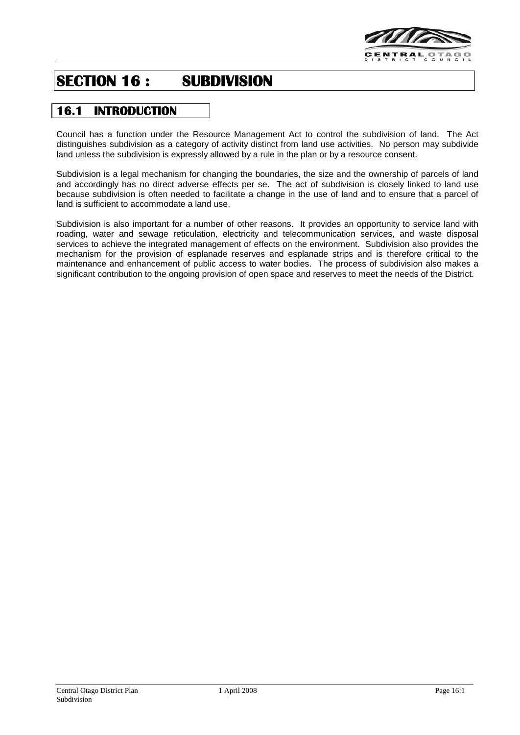

# **SECTION 16 : SUBDIVISION**

# **16.1 INTRODUCTION**

Council has a function under the Resource Management Act to control the subdivision of land. The Act distinguishes subdivision as a category of activity distinct from land use activities. No person may subdivide land unless the subdivision is expressly allowed by a rule in the plan or by a resource consent.

Subdivision is a legal mechanism for changing the boundaries, the size and the ownership of parcels of land and accordingly has no direct adverse effects per se. The act of subdivision is closely linked to land use because subdivision is often needed to facilitate a change in the use of land and to ensure that a parcel of land is sufficient to accommodate a land use.

Subdivision is also important for a number of other reasons. It provides an opportunity to service land with roading, water and sewage reticulation, electricity and telecommunication services, and waste disposal services to achieve the integrated management of effects on the environment. Subdivision also provides the mechanism for the provision of esplanade reserves and esplanade strips and is therefore critical to the maintenance and enhancement of public access to water bodies. The process of subdivision also makes a significant contribution to the ongoing provision of open space and reserves to meet the needs of the District.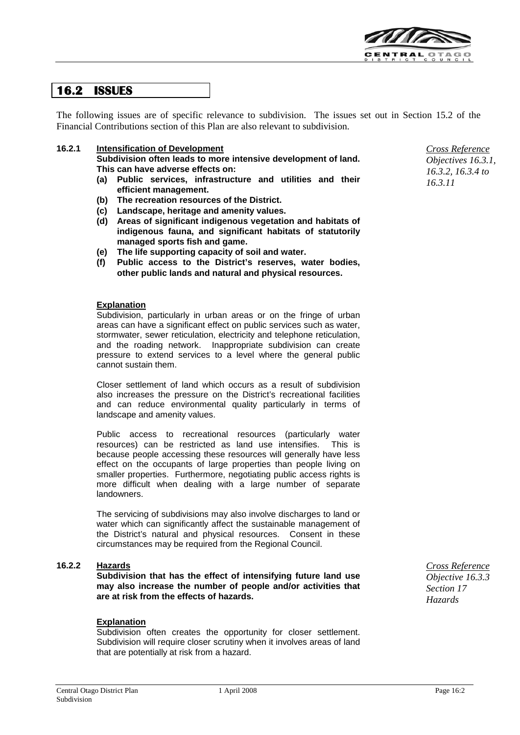

# **16.2 ISSUES**

The following issues are of specific relevance to subdivision. The issues set out in Section 15.2 of the Financial Contributions section of this Plan are also relevant to subdivision.

#### **16.2.1 Intensification of Development**

**Subdivision often leads to more intensive development of land. This can have adverse effects on:**

- **(a) Public services, infrastructure and utilities and their efficient management.**
- **(b) The recreation resources of the District.**
- **(c) Landscape, heritage and amenity values.**
- **(d) Areas of significant indigenous vegetation and habitats of indigenous fauna, and significant habitats of statutorily managed sports fish and game.**
- **(e) The life supporting capacity of soil and water.**
- **(f) Public access to the District's reserves, water bodies, other public lands and natural and physical resources.**

#### **Explanation**

Subdivision, particularly in urban areas or on the fringe of urban areas can have a significant effect on public services such as water, stormwater, sewer reticulation, electricity and telephone reticulation, and the roading network. Inappropriate subdivision can create pressure to extend services to a level where the general public cannot sustain them.

Closer settlement of land which occurs as a result of subdivision also increases the pressure on the District's recreational facilities and can reduce environmental quality particularly in terms of landscape and amenity values.

Public access to recreational resources (particularly water resources) can be restricted as land use intensifies. This is because people accessing these resources will generally have less effect on the occupants of large properties than people living on smaller properties. Furthermore, negotiating public access rights is more difficult when dealing with a large number of separate landowners.

The servicing of subdivisions may also involve discharges to land or water which can significantly affect the sustainable management of the District's natural and physical resources. Consent in these circumstances may be required from the Regional Council.

#### **16.2.2 Hazards**

**Subdivision that has the effect of intensifying future land use may also increase the number of people and/or activities that are at risk from the effects of hazards.**

#### **Explanation**

Subdivision often creates the opportunity for closer settlement. Subdivision will require closer scrutiny when it involves areas of land that are potentially at risk from a hazard.

*Cross Reference Objectives 16.3.1, 16.3.2, 16.3.4 to 16.3.11*

*Cross Reference Objective 16.3.3 Section 17 Hazards*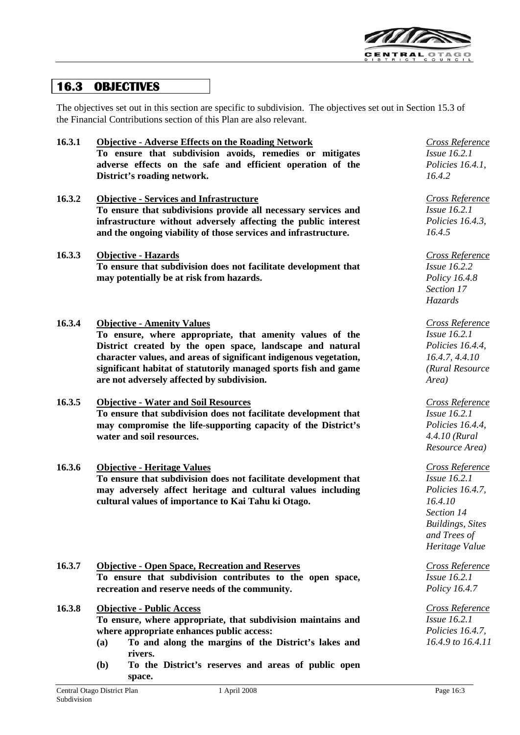

# **16.3 OBJECTIVES**

The objectives set out in this section are specific to subdivision. The objectives set out in Section 15.3 of the Financial Contributions section of this Plan are also relevant.

| 16.3.1 | <b>Objective - Adverse Effects on the Roading Network</b>         | $\overline{C}$ |
|--------|-------------------------------------------------------------------|----------------|
|        | To ensure that subdivision avoids, remedies or mitigates          | Is.            |
|        | adverse effects on the safe and efficient operation of the        | P <sub>0</sub> |
|        | District's roading network.                                       | 16             |
| 16.3.2 | <b>Objective - Services and Infrastructure</b>                    | $\overline{C}$ |
|        | To ensure that subdivisions provide all necessary services and    | Is.            |
|        | infrastructure without adversely affecting the public interest    | P <sub>0</sub> |
|        | and the ongoing viability of those services and infrastructure.   | 16             |
| 16.3.3 | <b>Objective - Hazards</b>                                        | $\overline{C}$ |
|        | To ensure that subdivision does not facilitate development that   | Is.            |
|        | may potentially be at risk from hazards.                          | P <sub>0</sub> |
|        |                                                                   | Se             |
|        |                                                                   | H <sub>0</sub> |
| 16.3.4 | <b>Objective - Amenity Values</b>                                 | $\overline{C}$ |
|        | To ensure, where appropriate, that amenity values of the          | Is.            |
|        | District created by the open space, landscape and natural         | P <sub>0</sub> |
|        | character values, and areas of significant indigenous vegetation, | 16             |
|        | significant habitat of statutorily managed sports fish and game   | (R)            |
|        | are not adversely affected by subdivision.                        | A <sub>I</sub> |
| 16.3.5 | <b>Objective - Water and Soil Resources</b>                       | $\overline{C}$ |
|        | To ensure that subdivision does not facilitate development that   | Is.            |
|        | may compromise the life-supporting capacity of the District's     | P <sub>0</sub> |
|        | water and soil resources.                                         | 4.4            |
|        |                                                                   | Re             |
| 16.3.6 | <b>Objective - Heritage Values</b>                                | $\overline{C}$ |
|        | To ensure that subdivision does not facilitate development that   | Is.            |
|        | may adversely affect heritage and cultural values including       | P <sub>0</sub> |
|        | cultural values of importance to Kai Tahu ki Otago.               | 16             |
|        |                                                                   | Se             |
|        |                                                                   | $B_l$          |
|        |                                                                   | an             |
|        |                                                                   | $H_0$          |
| 16.3.7 | <b>Objective - Open Space, Recreation and Reserves</b>            | C <sub>1</sub> |
|        | To ensure that subdivision contributes to the open space,         | Is.            |
|        | recreation and reserve needs of the community.                    | P <sub>0</sub> |
| 16.3.8 | <b>Objective - Public Access</b>                                  | C <sub>1</sub> |
|        | To ensure, where appropriate, that subdivision maintains and      | Is.            |
|        | where appropriate enhances public access:                         | P <sub>0</sub> |
|        | To and along the margins of the District's lakes and<br>(a)       | 16             |

**rivers. (b) To the District's reserves and areas of public open space.**

*Cross Reference Issue 16.2.1 Policies 16.4.1, 16.4.2*

*Cross Reference Issue 16.2.1 Policies 16.4.3, 16.4.5*

*Cross Reference Issue 16.2.2 Policy 16.4.8 Section 17 Hazards*

*Cross Reference Issue 16.2.1 Policies 16.4.4, 16.4.7, 4.4.10 (Rural Resource Area)*

*Cross Reference Issue 16.2.1 Policies 16.4.4, 4.4.10 (Rural Resource Area)*

### *Cross Reference Issue 16.2.1 Policies 16.4.7, 16.4.10 Section 14 Buildings, Sites and Trees of Heritage Value*

*Cross Reference Issue 16.2.1 Policy 16.4.7*

*Cross Reference Issue 16.2.1 Policies 16.4.7, 16.4.9 to 16.4.11*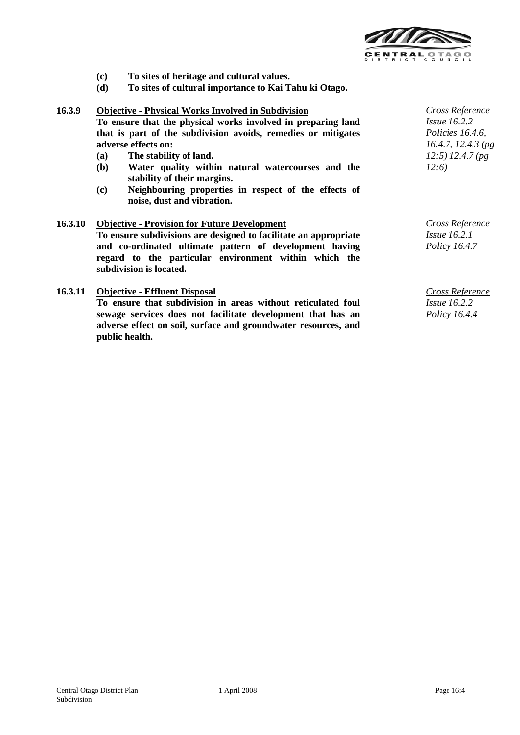

- **(c) To sites of heritage and cultural values.**
- **(d) To sites of cultural importance to Kai Tahu ki Otago.**

# **16.3.9 Objective - Physical Works Involved in Subdivision To ensure that the physical works involved in preparing land that is part of the subdivision avoids, remedies or mitigates adverse effects on:**

- **(a) The stability of land.**
- **(b) Water quality within natural watercourses and the stability of their margins.**
- **(c) Neighbouring properties in respect of the effects of noise, dust and vibration.**
- **16.3.10 Objective - Provision for Future Development To ensure subdivisions are designed to facilitate an appropriate and co-ordinated ultimate pattern of development having regard to the particular environment within which the subdivision is located.**

# **16.3.11 Objective - Effluent Disposal**

**To ensure that subdivision in areas without reticulated foul sewage services does not facilitate development that has an adverse effect on soil, surface and groundwater resources, and public health.**

*Cross Reference Issue 16.2.2 Policies 16.4.6, 16.4.7, 12.4.3 (pg 12:5) 12.4.7 (pg 12:6)*

*Cross Reference Issue 16.2.1 Policy 16.4.7*

*Cross Reference Issue 16.2.2 Policy 16.4.4*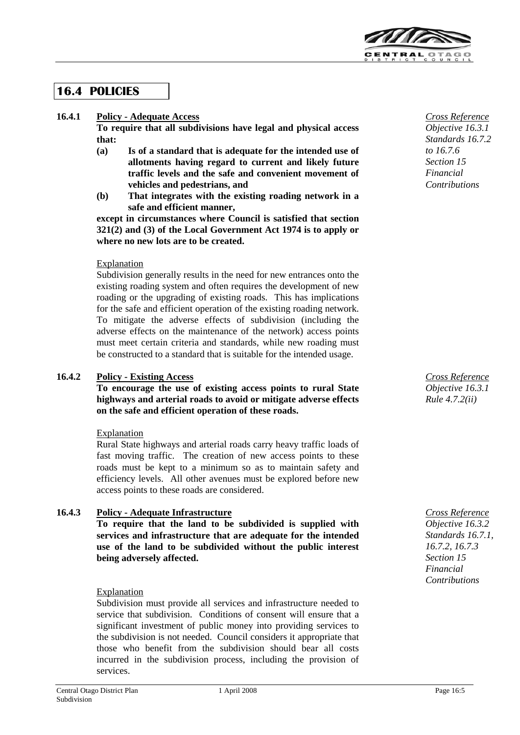

# **16.4 POLICIES**

#### **16.4.1 Policy - Adequate Access**

**To require that all subdivisions have legal and physical access that:**

- **(a) Is of a standard that is adequate for the intended use of allotments having regard to current and likely future traffic levels and the safe and convenient movement of vehicles and pedestrians, and**
- **(b) That integrates with the existing roading network in a safe and efficient manner,**

**except in circumstances where Council is satisfied that section 321(2) and (3) of the Local Government Act 1974 is to apply or where no new lots are to be created.**

#### Explanation

Subdivision generally results in the need for new entrances onto the existing roading system and often requires the development of new roading or the upgrading of existing roads. This has implications for the safe and efficient operation of the existing roading network. To mitigate the adverse effects of subdivision (including the adverse effects on the maintenance of the network) access points must meet certain criteria and standards, while new roading must be constructed to a standard that is suitable for the intended usage.

#### **16.4.2 Policy - Existing Access**

**To encourage the use of existing access points to rural State highways and arterial roads to avoid or mitigate adverse effects on the safe and efficient operation of these roads.**

#### Explanation

Rural State highways and arterial roads carry heavy traffic loads of fast moving traffic. The creation of new access points to these roads must be kept to a minimum so as to maintain safety and efficiency levels. All other avenues must be explored before new access points to these roads are considered.

### **16.4.3 Policy - Adequate Infrastructure**

**To require that the land to be subdivided is supplied with services and infrastructure that are adequate for the intended use of the land to be subdivided without the public interest being adversely affected.**

#### Explanation

Subdivision must provide all services and infrastructure needed to service that subdivision. Conditions of consent will ensure that a significant investment of public money into providing services to the subdivision is not needed. Council considers it appropriate that those who benefit from the subdivision should bear all costs incurred in the subdivision process, including the provision of services.



*Cross Reference Objective 16.3.1 Rule 4.7.2(ii)* 

*Cross Reference Objective 16.3.2 Standards 16.7.1, 16.7.2, 16.7.3 Section 15 Financial Contributions*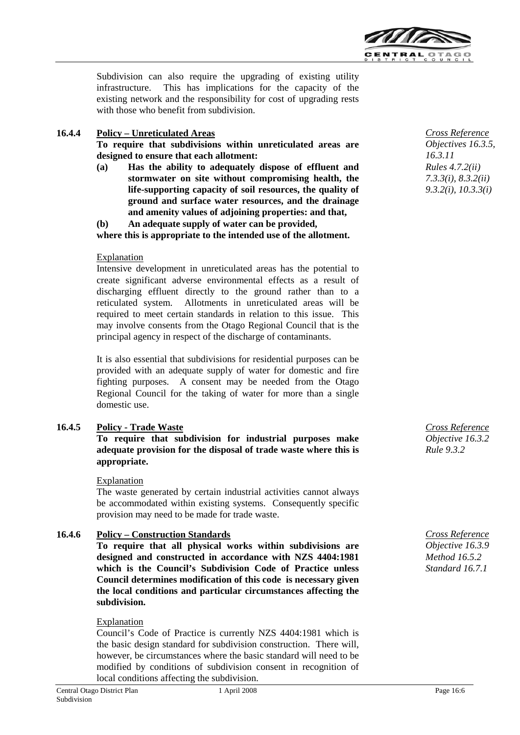

Subdivision can also require the upgrading of existing utility infrastructure. This has implications for the capacity of the existing network and the responsibility for cost of upgrading rests with those who benefit from subdivision.

# **16.4.4 Policy – Unreticulated Areas**

**To require that subdivisions within unreticulated areas are designed to ensure that each allotment:**

- **(a) Has the ability to adequately dispose of effluent and stormwater on site without compromising health, the life-supporting capacity of soil resources, the quality of ground and surface water resources, and the drainage and amenity values of adjoining properties: and that,**
- **(b) An adequate supply of water can be provided,**

**where this is appropriate to the intended use of the allotment.**

#### Explanation

Intensive development in unreticulated areas has the potential to create significant adverse environmental effects as a result of discharging effluent directly to the ground rather than to a reticulated system. Allotments in unreticulated areas will be required to meet certain standards in relation to this issue. This may involve consents from the Otago Regional Council that is the principal agency in respect of the discharge of contaminants.

It is also essential that subdivisions for residential purposes can be provided with an adequate supply of water for domestic and fire fighting purposes. A consent may be needed from the Otago Regional Council for the taking of water for more than a single domestic use.

#### **16.4.5 Policy - Trade Waste**

**To require that subdivision for industrial purposes make adequate provision for the disposal of trade waste where this is appropriate.**

#### Explanation

The waste generated by certain industrial activities cannot always be accommodated within existing systems. Consequently specific provision may need to be made for trade waste.

#### **16.4.6 Policy – Construction Standards**

**To require that all physical works within subdivisions are designed and constructed in accordance with NZS 4404:1981 which is the Council's Subdivision Code of Practice unless Council determines modification of this code is necessary given the local conditions and particular circumstances affecting the subdivision.**

#### Explanation

Council's Code of Practice is currently NZS 4404:1981 which is the basic design standard for subdivision construction. There will, however, be circumstances where the basic standard will need to be modified by conditions of subdivision consent in recognition of local conditions affecting the subdivision.



*Cross Reference Objective 16.3.2 Rule 9.3.2* 

*Cross Reference Objective 16.3.9 Method 16.5.2 Standard 16.7.1*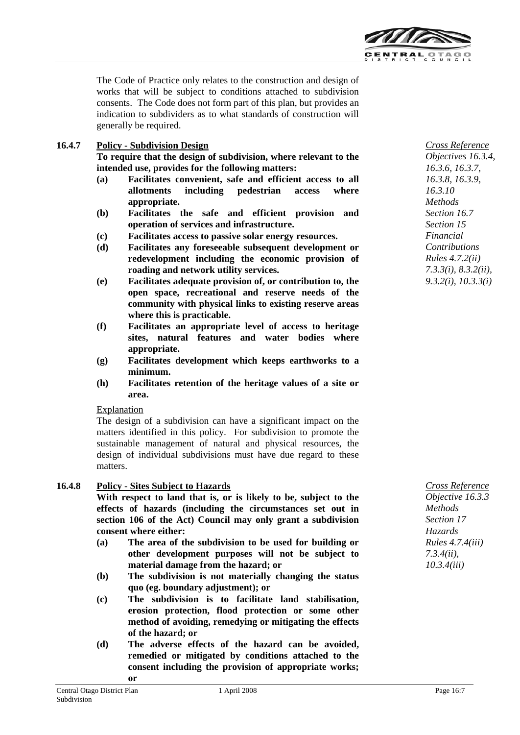

The Code of Practice only relates to the construction and design of works that will be subject to conditions attached to subdivision consents. The Code does not form part of this plan, but provides an indication to subdividers as to what standards of construction will generally be required.

**16.4.7 Policy - Subdivision Design**

**To require that the design of subdivision, where relevant to the intended use, provides for the following matters:**

- **(a) Facilitates convenient, safe and efficient access to all allotments including pedestrian access where appropriate.**
- **(b) Facilitates the safe and efficient provision and operation of services and infrastructure.**
- **(c) Facilitates access to passive solar energy resources.**
- **(d) Facilitates any foreseeable subsequent development or redevelopment including the economic provision of roading and network utility services.**
- **(e) Facilitates adequate provision of, or contribution to, the open space, recreational and reserve needs of the community with physical links to existing reserve areas where this is practicable.**
- **(f) Facilitates an appropriate level of access to heritage sites, natural features and water bodies where appropriate.**
- **(g) Facilitates development which keeps earthworks to a minimum.**
- **(h) Facilitates retention of the heritage values of a site or area.**

# Explanation

The design of a subdivision can have a significant impact on the matters identified in this policy. For subdivision to promote the sustainable management of natural and physical resources, the design of individual subdivisions must have due regard to these matters.

# **16.4.8 Policy - Sites Subject to Hazards**

**With respect to land that is, or is likely to be, subject to the effects of hazards (including the circumstances set out in section 106 of the Act) Council may only grant a subdivision consent where either:**

- **(a) The area of the subdivision to be used for building or other development purposes will not be subject to material damage from the hazard; or**
- **(b) The subdivision is not materially changing the status quo (eg. boundary adjustment); or**
- **(c) The subdivision is to facilitate land stabilisation, erosion protection, flood protection or some other method of avoiding, remedying or mitigating the effects of the hazard; or**
- **(d) The adverse effects of the hazard can be avoided, remedied or mitigated by conditions attached to the consent including the provision of appropriate works; or**



*Cross Reference Objective 16.3.3 Methods Section 17 Hazards Rules 4.7.4(iii) 7.3.4(ii), 10.3.4(iii)*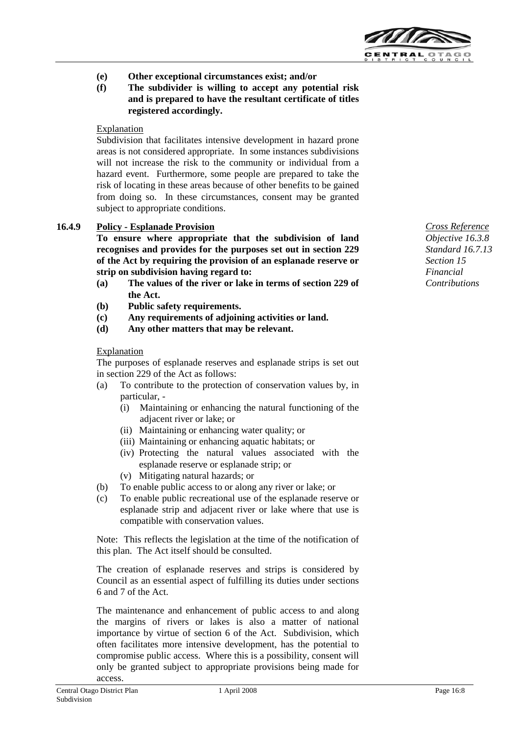

- **(e) Other exceptional circumstances exist; and/or**
- **(f) The subdivider is willing to accept any potential risk and is prepared to have the resultant certificate of titles registered accordingly.**

#### **Explanation**

Subdivision that facilitates intensive development in hazard prone areas is not considered appropriate. In some instances subdivisions will not increase the risk to the community or individual from a hazard event. Furthermore, some people are prepared to take the risk of locating in these areas because of other benefits to be gained from doing so. In these circumstances, consent may be granted subject to appropriate conditions.

#### **16.4.9 Policy - Esplanade Provision**

**To ensure where appropriate that the subdivision of land recognises and provides for the purposes set out in section 229 of the Act by requiring the provision of an esplanade reserve or strip on subdivision having regard to:**

- **(a) The values of the river or lake in terms of section 229 of the Act.**
- **(b) Public safety requirements.**
- **(c) Any requirements of adjoining activities or land.**
- **(d) Any other matters that may be relevant.**

#### Explanation

The purposes of esplanade reserves and esplanade strips is set out in section 229 of the Act as follows:

- (a) To contribute to the protection of conservation values by, in particular, -
	- (i) Maintaining or enhancing the natural functioning of the adjacent river or lake; or
	- (ii) Maintaining or enhancing water quality; or
	- (iii) Maintaining or enhancing aquatic habitats; or
	- (iv) Protecting the natural values associated with the esplanade reserve or esplanade strip; or
	- (v) Mitigating natural hazards; or
- (b) To enable public access to or along any river or lake; or
- (c) To enable public recreational use of the esplanade reserve or esplanade strip and adjacent river or lake where that use is compatible with conservation values.

Note: This reflects the legislation at the time of the notification of this plan. The Act itself should be consulted.

The creation of esplanade reserves and strips is considered by Council as an essential aspect of fulfilling its duties under sections 6 and 7 of the Act.

The maintenance and enhancement of public access to and along the margins of rivers or lakes is also a matter of national importance by virtue of section 6 of the Act. Subdivision, which often facilitates more intensive development, has the potential to compromise public access. Where this is a possibility, consent will only be granted subject to appropriate provisions being made for access.

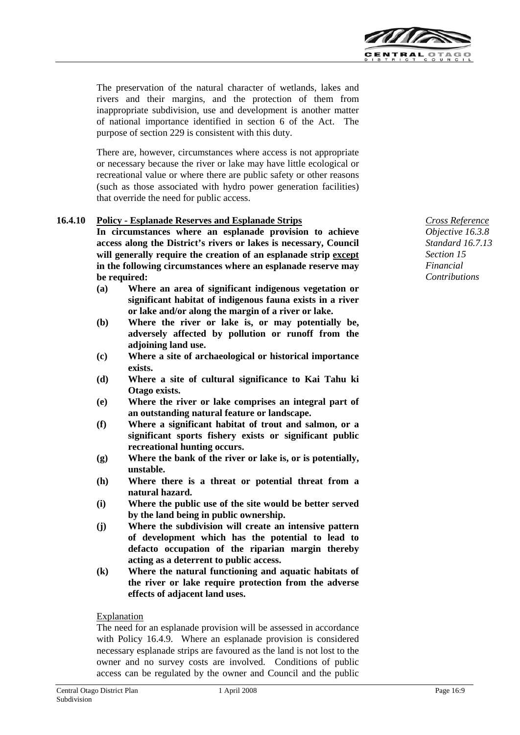

The preservation of the natural character of wetlands, lakes and rivers and their margins, and the protection of them from inappropriate subdivision, use and development is another matter of national importance identified in section 6 of the Act. The purpose of section 229 is consistent with this duty.

There are, however, circumstances where access is not appropriate or necessary because the river or lake may have little ecological or recreational value or where there are public safety or other reasons (such as those associated with hydro power generation facilities) that override the need for public access.

#### **16.4.10 Policy - Esplanade Reserves and Esplanade Strips**

**In circumstances where an esplanade provision to achieve access along the District's rivers or lakes is necessary, Council will generally require the creation of an esplanade strip except in the following circumstances where an esplanade reserve may be required:**

- **(a) Where an area of significant indigenous vegetation or significant habitat of indigenous fauna exists in a river or lake and/or along the margin of a river or lake.**
- **(b) Where the river or lake is, or may potentially be, adversely affected by pollution or runoff from the adjoining land use.**
- **(c) Where a site of archaeological or historical importance exists.**
- **(d) Where a site of cultural significance to Kai Tahu ki Otago exists.**
- **(e) Where the river or lake comprises an integral part of an outstanding natural feature or landscape.**
- **(f) Where a significant habitat of trout and salmon, or a significant sports fishery exists or significant public recreational hunting occurs.**
- **(g) Where the bank of the river or lake is, or is potentially, unstable.**
- **(h) Where there is a threat or potential threat from a natural hazard.**
- **(i) Where the public use of the site would be better served by the land being in public ownership.**
- **(j) Where the subdivision will create an intensive pattern of development which has the potential to lead to defacto occupation of the riparian margin thereby acting as a deterrent to public access.**
- **(k) Where the natural functioning and aquatic habitats of the river or lake require protection from the adverse effects of adjacent land uses.**

#### Explanation

The need for an esplanade provision will be assessed in accordance with Policy 16.4.9. Where an esplanade provision is considered necessary esplanade strips are favoured as the land is not lost to the owner and no survey costs are involved. Conditions of public access can be regulated by the owner and Council and the public

*Cross Reference Objective 16.3.8 Standard 16.7.13 Section 15 Financial Contributions*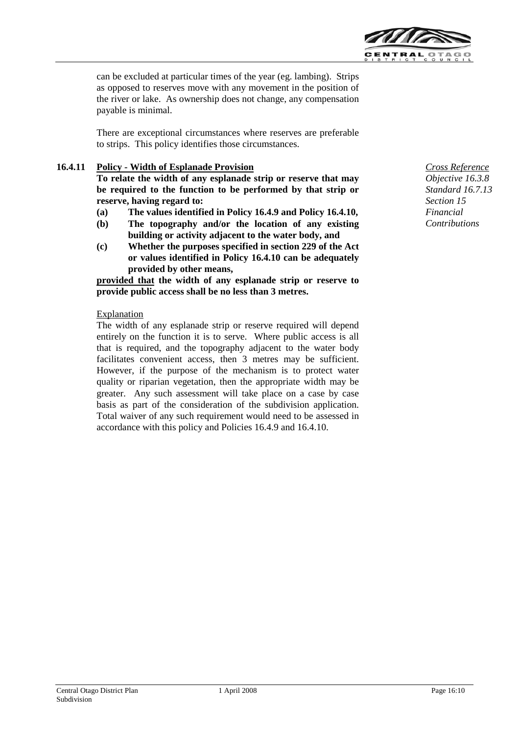

can be excluded at particular times of the year (eg. lambing). Strips as opposed to reserves move with any movement in the position of the river or lake. As ownership does not change, any compensation payable is minimal.

There are exceptional circumstances where reserves are preferable to strips. This policy identifies those circumstances.

### **16.4.11 Policy - Width of Esplanade Provision**

**To relate the width of any esplanade strip or reserve that may be required to the function to be performed by that strip or reserve, having regard to:**

- **(a) The values identified in Policy 16.4.9 and Policy 16.4.10,**
- **(b) The topography and/or the location of any existing building or activity adjacent to the water body, and**
- **(c) Whether the purposes specified in section 229 of the Act or values identified in Policy 16.4.10 can be adequately provided by other means,**

**provided that the width of any esplanade strip or reserve to provide public access shall be no less than 3 metres.**

#### Explanation

The width of any esplanade strip or reserve required will depend entirely on the function it is to serve. Where public access is all that is required, and the topography adjacent to the water body facilitates convenient access, then 3 metres may be sufficient. However, if the purpose of the mechanism is to protect water quality or riparian vegetation, then the appropriate width may be greater. Any such assessment will take place on a case by case basis as part of the consideration of the subdivision application. Total waiver of any such requirement would need to be assessed in accordance with this policy and Policies 16.4.9 and 16.4.10.

*Cross Reference Objective 16.3.8 Standard 16.7.13 Section 15 Financial Contributions*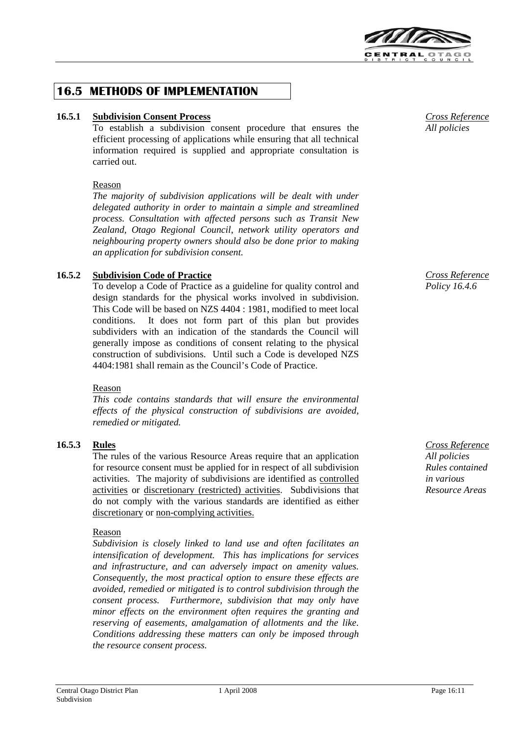

# **16.5 METHODS OF IMPLEMENTATION**

### **16.5.1 Subdivision Consent Process**

To establish a subdivision consent procedure that ensures the efficient processing of applications while ensuring that all technical information required is supplied and appropriate consultation is carried out.

#### Reason

*The majority of subdivision applications will be dealt with under delegated authority in order to maintain a simple and streamlined process. Consultation with affected persons such as Transit New Zealand, Otago Regional Council, network utility operators and neighbouring property owners should also be done prior to making an application for subdivision consent.*

#### **16.5.2 Subdivision Code of Practice**

To develop a Code of Practice as a guideline for quality control and design standards for the physical works involved in subdivision. This Code will be based on NZS 4404 : 1981, modified to meet local conditions. It does not form part of this plan but provides subdividers with an indication of the standards the Council will generally impose as conditions of consent relating to the physical construction of subdivisions. Until such a Code is developed NZS 4404:1981 shall remain as the Council's Code of Practice.

#### Reason

*This code contains standards that will ensure the environmental effects of the physical construction of subdivisions are avoided, remedied or mitigated.*

#### **16.5.3 Rules**

The rules of the various Resource Areas require that an application for resource consent must be applied for in respect of all subdivision activities. The majority of subdivisions are identified as controlled activities or discretionary (restricted) activities. Subdivisions that do not comply with the various standards are identified as either discretionary or non-complying activities.

#### Reason

*Subdivision is closely linked to land use and often facilitates an intensification of development. This has implications for services and infrastructure, and can adversely impact on amenity values. Consequently, the most practical option to ensure these effects are avoided, remedied or mitigated is to control subdivision through the consent process. Furthermore, subdivision that may only have minor effects on the environment often requires the granting and reserving of easements, amalgamation of allotments and the like. Conditions addressing these matters can only be imposed through the resource consent process.*

*Cross Reference All policies*

*Cross Reference Policy 16.4.6*

*Cross Reference All policies Rules contained in various Resource Areas*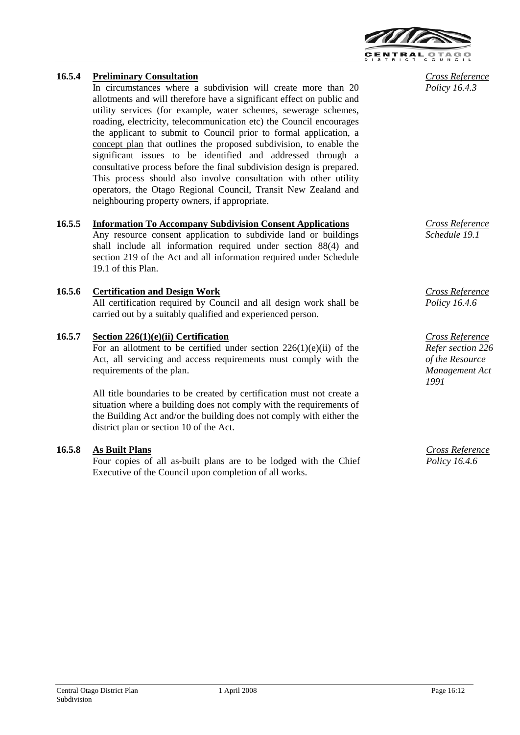

# **16.5.4 Preliminary Consultation**

In circumstances where a subdivision will create more than 20 allotments and will therefore have a significant effect on public and utility services (for example, water schemes, sewerage schemes, roading, electricity, telecommunication etc) the Council encourages the applicant to submit to Council prior to formal application, a concept plan that outlines the proposed subdivision, to enable the significant issues to be identified and addressed through a consultative process before the final subdivision design is prepared. This process should also involve consultation with other utility operators, the Otago Regional Council, Transit New Zealand and neighbouring property owners, if appropriate.

# **16.5.5 Information To Accompany Subdivision Consent Applications**

Any resource consent application to subdivide land or buildings shall include all information required under section 88(4) and section 219 of the Act and all information required under Schedule 19.1 of this Plan.

# **16.5.6 Certification and Design Work**

All certification required by Council and all design work shall be carried out by a suitably qualified and experienced person.

### **16.5.7 Section 226(1)(e)(ii) Certification**

For an allotment to be certified under section  $226(1)(e)(ii)$  of the Act, all servicing and access requirements must comply with the requirements of the plan.

All title boundaries to be created by certification must not create a situation where a building does not comply with the requirements of the Building Act and/or the building does not comply with either the district plan or section 10 of the Act.

#### **16.5.8 As Built Plans**

Four copies of all as-built plans are to be lodged with the Chief Executive of the Council upon completion of all works.

*Cross Reference Policy 16.4.3*

*Cross Reference Schedule 19.1*

*Cross Reference Policy 16.4.6*

*Cross Reference Refer section 226 of the Resource Management Act 1991*

*Cross Reference Policy 16.4.6*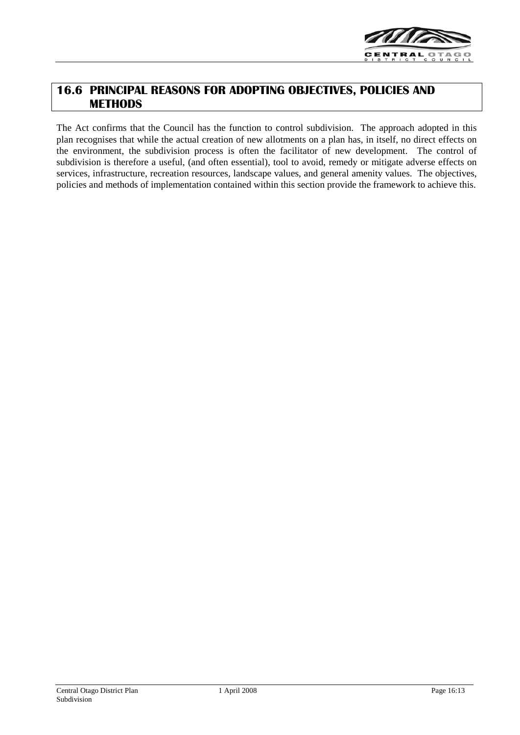

# **16.6 PRINCIPAL REASONS FOR ADOPTING OBJECTIVES, POLICIES AND METHODS**

The Act confirms that the Council has the function to control subdivision. The approach adopted in this plan recognises that while the actual creation of new allotments on a plan has, in itself, no direct effects on the environment, the subdivision process is often the facilitator of new development. The control of subdivision is therefore a useful, (and often essential), tool to avoid, remedy or mitigate adverse effects on services, infrastructure, recreation resources, landscape values, and general amenity values. The objectives, policies and methods of implementation contained within this section provide the framework to achieve this.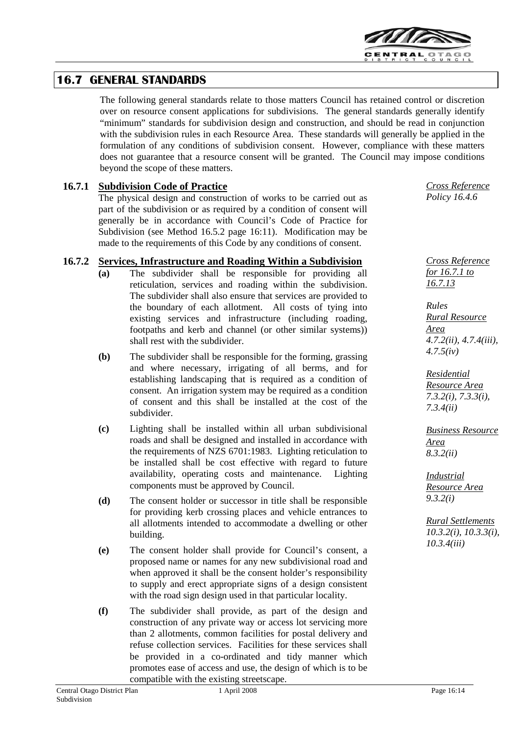

# **16.7 GENERAL STANDARDS**

The following general standards relate to those matters Council has retained control or discretion over on resource consent applications for subdivisions. The general standards generally identify "minimum" standards for subdivision design and construction, and should be read in conjunction with the subdivision rules in each Resource Area. These standards will generally be applied in the formulation of any conditions of subdivision consent. However, compliance with these matters does not guarantee that a resource consent will be granted. The Council may impose conditions beyond the scope of these matters.

# **16.7.1 Subdivision Code of Practice**

The physical design and construction of works to be carried out as part of the subdivision or as required by a condition of consent will generally be in accordance with Council's Code of Practice for Subdivision (see Method 16.5.2 page 16:11). Modification may be made to the requirements of this Code by any conditions of consent.

### **16.7.2 Services, Infrastructure and Roading Within a Subdivision**

- **(a)** The subdivider shall be responsible for providing all reticulation, services and roading within the subdivision. The subdivider shall also ensure that services are provided to the boundary of each allotment. All costs of tying into existing services and infrastructure (including roading, footpaths and kerb and channel (or other similar systems)) shall rest with the subdivider.
- **(b)** The subdivider shall be responsible for the forming, grassing and where necessary, irrigating of all berms, and for establishing landscaping that is required as a condition of consent. An irrigation system may be required as a condition of consent and this shall be installed at the cost of the subdivider.
- **(c)** Lighting shall be installed within all urban subdivisional roads and shall be designed and installed in accordance with the requirements of NZS 6701:1983. Lighting reticulation to be installed shall be cost effective with regard to future availability, operating costs and maintenance. Lighting components must be approved by Council.
- **(d)** The consent holder or successor in title shall be responsible for providing kerb crossing places and vehicle entrances to all allotments intended to accommodate a dwelling or other building.
- **(e)** The consent holder shall provide for Council's consent, a proposed name or names for any new subdivisional road and when approved it shall be the consent holder's responsibility to supply and erect appropriate signs of a design consistent with the road sign design used in that particular locality.
- **(f)** The subdivider shall provide, as part of the design and construction of any private way or access lot servicing more than 2 allotments, common facilities for postal delivery and refuse collection services. Facilities for these services shall be provided in a co-ordinated and tidy manner which promotes ease of access and use, the design of which is to be compatible with the existing streetscape.

*Cross Reference Policy 16.4.6*

*Cross Reference for 16.7.1 to 16.7.13*

*Rules Rural Resource Area 4.7.2(ii), 4.7.4(iii), 4.7.5(iv)*

*Residential Resource Area 7.3.2(i), 7.3.3(i), 7.3.4(ii)*

*Business Resource Area 8.3.2(ii)*

*Industrial Resource Area 9.3.2(i)*

*Rural Settlements 10.3.2(i), 10.3.3(i), 10.3.4(iii)*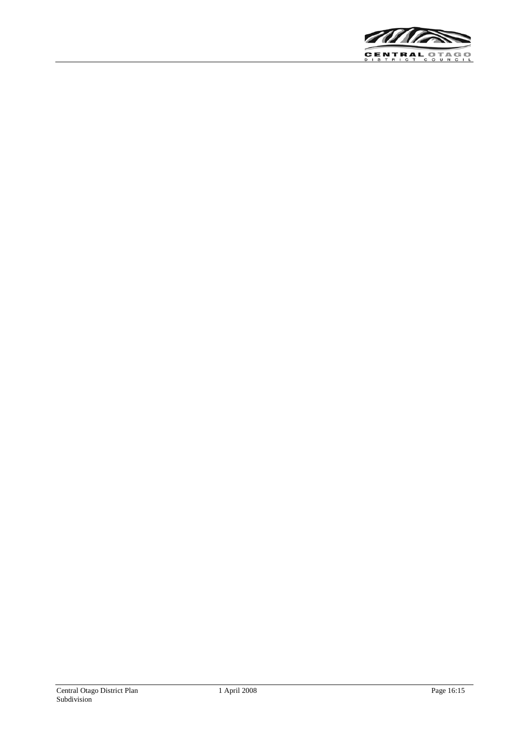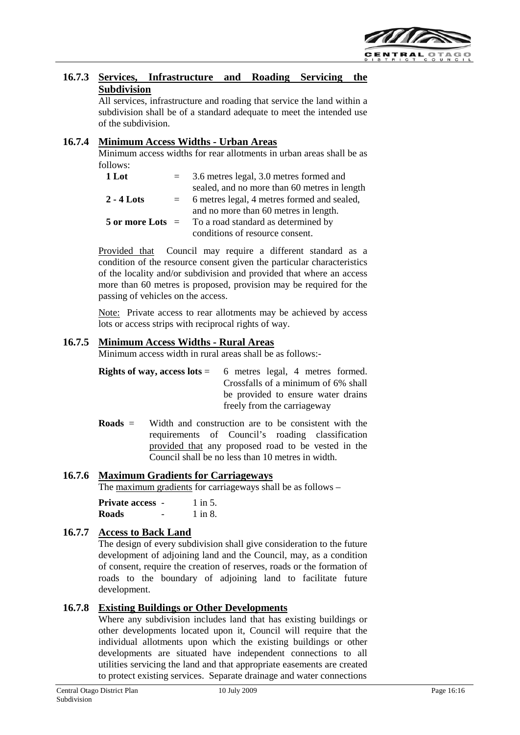

# **16.7.3 Services, Infrastructure and Roading Servicing the Subdivision**

All services, infrastructure and roading that service the land within a subdivision shall be of a standard adequate to meet the intended use of the subdivision.

# **16.7.4 Minimum Access Widths - Urban Areas**

Minimum access widths for rear allotments in urban areas shall be as follows:

| 1 Lot                | $=$ | 3.6 metres legal, 3.0 metres formed and      |
|----------------------|-----|----------------------------------------------|
|                      |     | sealed, and no more than 60 metres in length |
| $2 - 4$ Lots         | $=$ | 6 metres legal, 4 metres formed and sealed,  |
|                      |     | and no more than 60 metres in length.        |
| $5$ or more Lots $=$ |     | To a road standard as determined by          |
|                      |     | conditions of resource consent.              |

Provided that Council may require a different standard as a condition of the resource consent given the particular characteristics of the locality and/or subdivision and provided that where an access more than 60 metres is proposed, provision may be required for the passing of vehicles on the access.

Note: Private access to rear allotments may be achieved by access lots or access strips with reciprocal rights of way.

# **16.7.5 Minimum Access Widths - Rural Areas**

Minimum access width in rural areas shall be as follows:-

| <b>Rights of way, access lots</b> = $\overline{6}$ metres legal, 4 metres formed. |
|-----------------------------------------------------------------------------------|
| Crossfalls of a minimum of 6% shall                                               |
| be provided to ensure water drains                                                |
| freely from the carriage way                                                      |

**Roads** = Width and construction are to be consistent with the requirements of Council's roading classification provided that any proposed road to be vested in the Council shall be no less than 10 metres in width.

# **16.7.6 Maximum Gradients for Carriageways**

The maximum gradients for carriageways shall be as follows –

**Private access** - 1 in 5. **Roads** - 1 in 8.

# **16.7.7 Access to Back Land**

The design of every subdivision shall give consideration to the future development of adjoining land and the Council, may, as a condition of consent, require the creation of reserves, roads or the formation of roads to the boundary of adjoining land to facilitate future development.

# **16.7.8 Existing Buildings or Other Developments**

Where any subdivision includes land that has existing buildings or other developments located upon it, Council will require that the individual allotments upon which the existing buildings or other developments are situated have independent connections to all utilities servicing the land and that appropriate easements are created to protect existing services. Separate drainage and water connections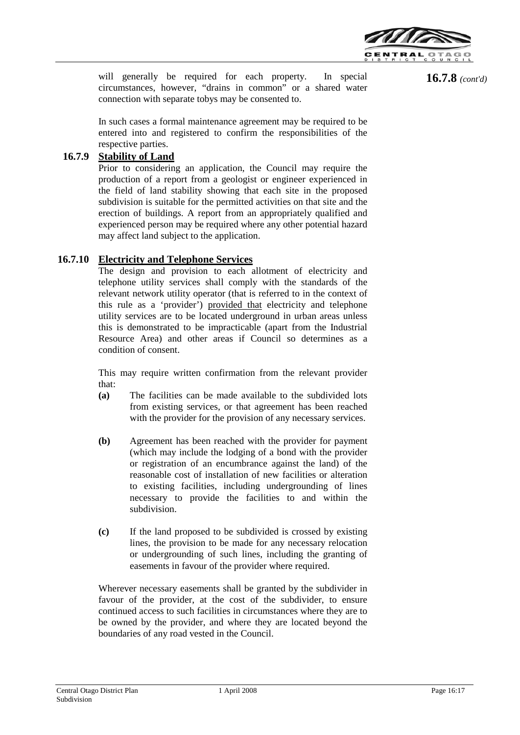

will generally be required for each property. In special circumstances, however, "drains in common" or a shared water connection with separate tobys may be consented to.

**16.7.8** *(cont'd)*

In such cases a formal maintenance agreement may be required to be entered into and registered to confirm the responsibilities of the respective parties.

# **16.7.9 Stability of Land**

Prior to considering an application, the Council may require the production of a report from a geologist or engineer experienced in the field of land stability showing that each site in the proposed subdivision is suitable for the permitted activities on that site and the erection of buildings. A report from an appropriately qualified and experienced person may be required where any other potential hazard may affect land subject to the application.

# **16.7.10 Electricity and Telephone Services**

The design and provision to each allotment of electricity and telephone utility services shall comply with the standards of the relevant network utility operator (that is referred to in the context of this rule as a 'provider') provided that electricity and telephone utility services are to be located underground in urban areas unless this is demonstrated to be impracticable (apart from the Industrial Resource Area) and other areas if Council so determines as a condition of consent.

This may require written confirmation from the relevant provider that:

- **(a)** The facilities can be made available to the subdivided lots from existing services, or that agreement has been reached with the provider for the provision of any necessary services.
- **(b)** Agreement has been reached with the provider for payment (which may include the lodging of a bond with the provider or registration of an encumbrance against the land) of the reasonable cost of installation of new facilities or alteration to existing facilities, including undergrounding of lines necessary to provide the facilities to and within the subdivision.
- **(c)** If the land proposed to be subdivided is crossed by existing lines, the provision to be made for any necessary relocation or undergrounding of such lines, including the granting of easements in favour of the provider where required.

Wherever necessary easements shall be granted by the subdivider in favour of the provider, at the cost of the subdivider, to ensure continued access to such facilities in circumstances where they are to be owned by the provider, and where they are located beyond the boundaries of any road vested in the Council.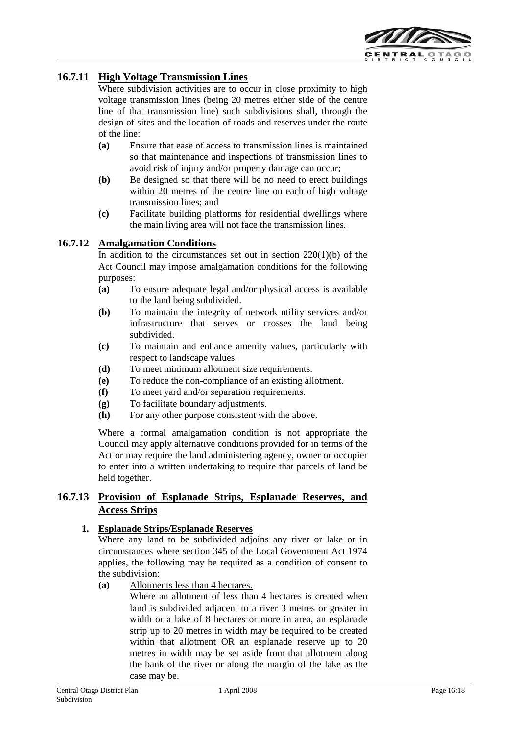

# **16.7.11 High Voltage Transmission Lines**

Where subdivision activities are to occur in close proximity to high voltage transmission lines (being 20 metres either side of the centre line of that transmission line) such subdivisions shall, through the design of sites and the location of roads and reserves under the route of the line:

- **(a)** Ensure that ease of access to transmission lines is maintained so that maintenance and inspections of transmission lines to avoid risk of injury and/or property damage can occur;
- **(b)** Be designed so that there will be no need to erect buildings within 20 metres of the centre line on each of high voltage transmission lines; and
- **(c)** Facilitate building platforms for residential dwellings where the main living area will not face the transmission lines.

### **16.7.12 Amalgamation Conditions**

In addition to the circumstances set out in section  $220(1)(b)$  of the Act Council may impose amalgamation conditions for the following purposes:

- **(a)** To ensure adequate legal and/or physical access is available to the land being subdivided.
- **(b)** To maintain the integrity of network utility services and/or infrastructure that serves or crosses the land being subdivided.
- **(c)** To maintain and enhance amenity values, particularly with respect to landscape values.
- **(d)** To meet minimum allotment size requirements.
- **(e)** To reduce the non-compliance of an existing allotment.
- **(f)** To meet yard and/or separation requirements.
- **(g)** To facilitate boundary adjustments.
- **(h)** For any other purpose consistent with the above.

Where a formal amalgamation condition is not appropriate the Council may apply alternative conditions provided for in terms of the Act or may require the land administering agency, owner or occupier to enter into a written undertaking to require that parcels of land be held together.

# **16.7.13 Provision of Esplanade Strips, Esplanade Reserves, and Access Strips**

#### **1. Esplanade Strips/Esplanade Reserves**

Where any land to be subdivided adjoins any river or lake or in circumstances where section 345 of the Local Government Act 1974 applies, the following may be required as a condition of consent to the subdivision:

**(a)** Allotments less than 4 hectares.

Where an allotment of less than 4 hectares is created when land is subdivided adjacent to a river 3 metres or greater in width or a lake of 8 hectares or more in area, an esplanade strip up to 20 metres in width may be required to be created within that allotment OR an esplanade reserve up to 20 metres in width may be set aside from that allotment along the bank of the river or along the margin of the lake as the case may be.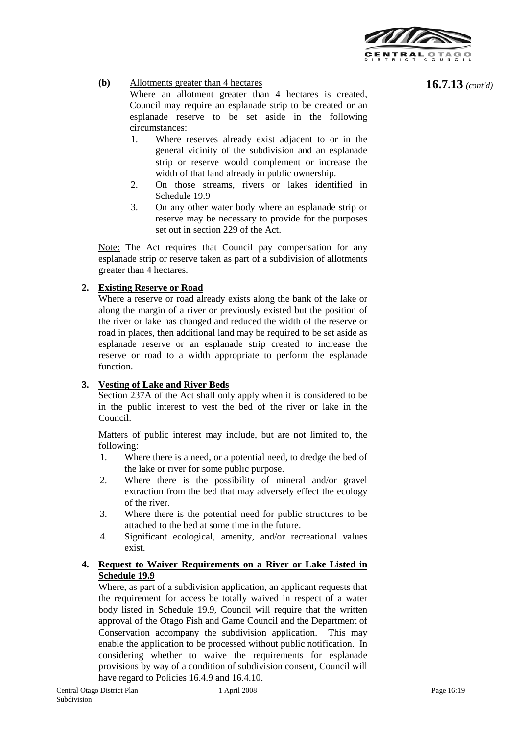

# **(b)** Allotments greater than 4 hectares

Where an allotment greater than 4 hectares is created, Council may require an esplanade strip to be created or an esplanade reserve to be set aside in the following circumstances:

- 1. Where reserves already exist adjacent to or in the general vicinity of the subdivision and an esplanade strip or reserve would complement or increase the width of that land already in public ownership.
- 2. On those streams, rivers or lakes identified in Schedule 19.9
- 3. On any other water body where an esplanade strip or reserve may be necessary to provide for the purposes set out in section 229 of the Act.

Note: The Act requires that Council pay compensation for any esplanade strip or reserve taken as part of a subdivision of allotments greater than 4 hectares.

# **2. Existing Reserve or Road**

Where a reserve or road already exists along the bank of the lake or along the margin of a river or previously existed but the position of the river or lake has changed and reduced the width of the reserve or road in places, then additional land may be required to be set aside as esplanade reserve or an esplanade strip created to increase the reserve or road to a width appropriate to perform the esplanade function.

# **3. Vesting of Lake and River Beds**

Section 237A of the Act shall only apply when it is considered to be in the public interest to vest the bed of the river or lake in the Council.

Matters of public interest may include, but are not limited to, the following:

- 1. Where there is a need, or a potential need, to dredge the bed of the lake or river for some public purpose.
- 2. Where there is the possibility of mineral and/or gravel extraction from the bed that may adversely effect the ecology of the river.
- 3. Where there is the potential need for public structures to be attached to the bed at some time in the future.
- 4. Significant ecological, amenity, and/or recreational values exist.

# **4. Request to Waiver Requirements on a River or Lake Listed in Schedule 19.9**

Where, as part of a subdivision application, an applicant requests that the requirement for access be totally waived in respect of a water body listed in Schedule 19.9, Council will require that the written approval of the Otago Fish and Game Council and the Department of Conservation accompany the subdivision application. This may enable the application to be processed without public notification. In considering whether to waive the requirements for esplanade provisions by way of a condition of subdivision consent, Council will have regard to Policies 16.4.9 and 16.4.10.

# **16.7.13** *(cont'd)*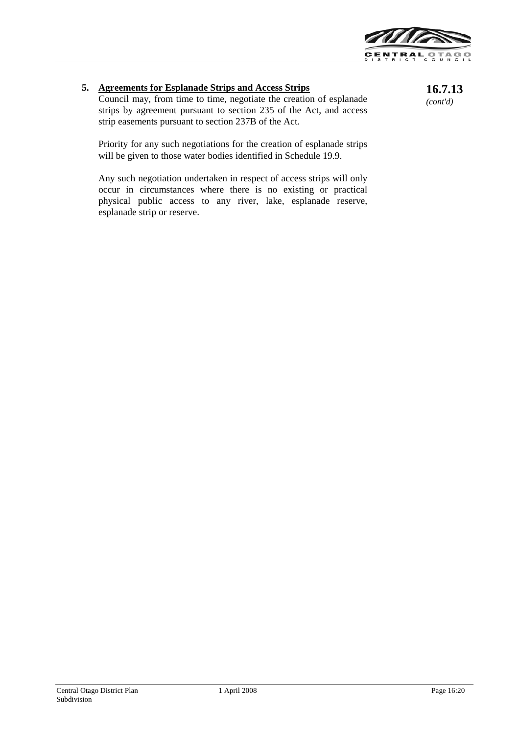![](_page_19_Picture_0.jpeg)

# **5. Agreements for Esplanade Strips and Access Strips**

Council may, from time to time, negotiate the creation of esplanade strips by agreement pursuant to section 235 of the Act, and access strip easements pursuant to section 237B of the Act.

**16.7.13** *(cont'd)*

Priority for any such negotiations for the creation of esplanade strips will be given to those water bodies identified in Schedule 19.9.

Any such negotiation undertaken in respect of access strips will only occur in circumstances where there is no existing or practical physical public access to any river, lake, esplanade reserve, esplanade strip or reserve.